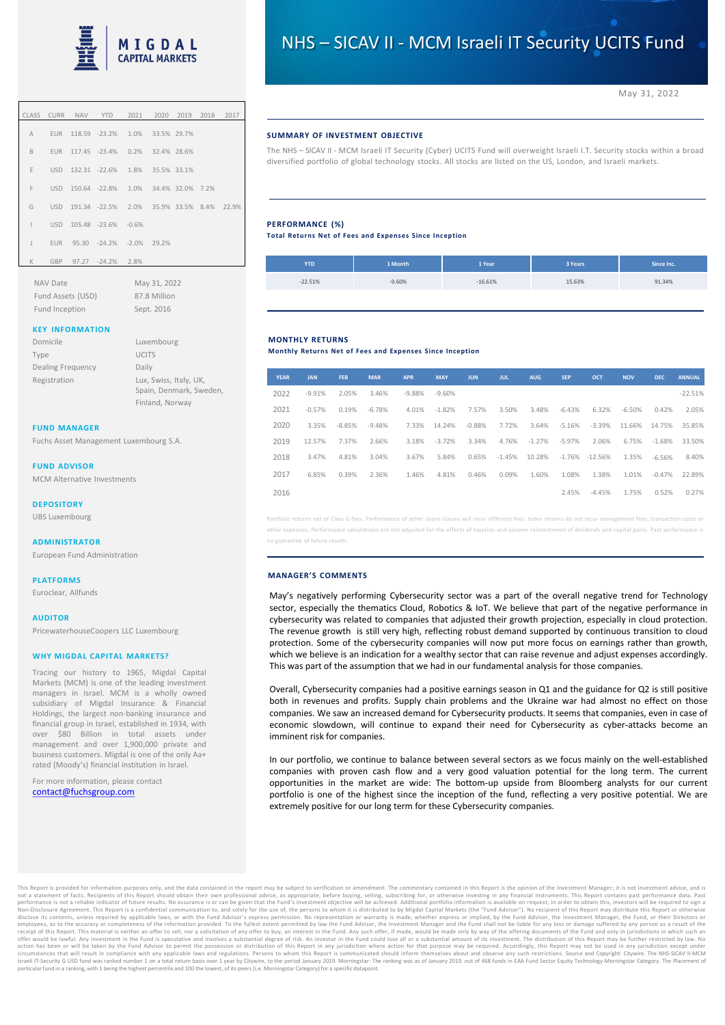

|              |     | CLASS CURR NAV YTD 2021 2020 2019 2018 2017   |  |  |  |
|--------------|-----|-----------------------------------------------|--|--|--|
|              |     | A EUR 118.59 -23.2% 1.0% 33.5% 29.7%          |  |  |  |
| B.           |     | EUR 117.45 -23.4% 0.2% 32.4% 28.6%            |  |  |  |
| E.           |     | USD 132.31 -22.6% 1.8% 35.5% 33.1%            |  |  |  |
| F            |     | USD 150.64 -22.8% 1.0% 34.4% 32.0% 7.2%       |  |  |  |
| G            |     | USD 191.34 -22.5% 2.0% 35.9% 33.5% 8.4% 22.9% |  |  |  |
| T            |     | USD 105.48 -23.6% -0.6%                       |  |  |  |
| $\mathsf{J}$ |     | EUR 95.30 -24.2% -2.0% 29.2%                  |  |  |  |
| K            | GBP | 97.27 -24.2% 2.8%                             |  |  |  |

NAV Date May 31, 2022 Fund Assets (USD) 87.8 Million Fund Inception Sept. 2016

# **KEY INFORMATION**

| Domicile          | Luxembourg                                        |
|-------------------|---------------------------------------------------|
| Type              | <b>UCITS</b>                                      |
| Dealing Frequency | Daily                                             |
| Registration      | Lux, Swiss, Italy, UK,<br>Spain, Denmark, Sweden, |
|                   | Finland, Norway                                   |

### **FUND MANAGER**

Fuchs Asset Management Luxembourg S.A.

### **FUND ADVISOR**

MCM Alternative Investments

#### **DEPOSITORY**

UBS Luxembourg

#### **ADMINISTRATOR**

European Fund Administration

**PLATFORMS** Euroclear, Allfunds

**AUDITOR** PricewaterhouseCoopers LLC Luxembourg

# **WHY MIGDAL CAPITAL MARKETS?**

Tracing our history to 1965, Migdal Capital Markets (MCM) is one of the leading investment managers in Israel. MCM is a wholly owned subsidiary of Migdal Insurance & Financial Holdings, the largest non-banking insurance and financial group in Israel, established in 1934, with over \$80 Billion in total assets under management and over 1,900,000 private and business customers. Migdal is one of the only Aa+ rated (Moody's) financial institution in Israel.

For more information, please contact [contact@fuchsgroup.com](mailto:luxfundservices@davygfm.com)

# **SUMMARY OF INVESTMENT OBJECTIVE**

The NHS – SICAV II - MCM Israeli IT Security (Cyber) UCITS Fund will overweight Israeli I.T. Security stocks within a broad diversified portfolio of global technology stocks. All stocks are listed on the US, London, and Israeli markets.

# **PERFORMANCE (%)**

**Total Returns Net of Fees and Expenses Since Inception**

| <b>YTD</b> | 1 Month  | 1 Year    | 3 Years | Since Inc. |
|------------|----------|-----------|---------|------------|
| $-22.51%$  | $-9.60%$ | $-16.61%$ | 15.63%  | 91.34%     |

# **MONTHLY RETURNS**

**Monthly Returns Net of Fees and Expenses Since Inception**

| <b>YEAR</b> | <b>JAN</b> | <b>FEB</b> | <b>MAR</b> | <b>APR</b> | <b>MAY</b> | <b>JUN</b> | <b>JUL</b> | <b>AUG</b> | <b>SEP</b> | OCT       | <b>NOV</b> | <b>DEC</b> | <b>ANNUAL</b> |
|-------------|------------|------------|------------|------------|------------|------------|------------|------------|------------|-----------|------------|------------|---------------|
| 2022        | $-9.91%$   | 2.05%      | 3.46%      | $-9.88%$   | $-9.60%$   |            |            |            |            |           |            |            | $-22.51%$     |
| 2021        | $-0.57%$   | 0.19%      | $-6.78%$   | 4.01%      | $-1.82%$   | 7.57%      | 3.50%      | 3.48%      | $-6.43%$   | 6.32%     | $-6.50%$   | 0.42%      | 2.05%         |
| 2020        | 3.35%      | $-8.85%$   | $-9.48%$   | 7.33%      | 14.24%     | $-0.88%$   | 7.72%      | 3.64%      | $-5.16%$   | $-3.39%$  | 11.66%     | 14.75%     | 35.85%        |
| 2019        | 12.57%     | 7.37%      | 2.66%      | 3.18%      | $-3.72%$   | 3.34%      | 4.76%      | $-1.27%$   | $-5.97%$   | 2.06%     | 6.75%      | $-1.68%$   | 33.50%        |
| 2018        | 3.47%      | 4.81%      | 3.04%      | 3.67%      | 5.84%      | 0.65%      | $-1.45%$   | 10.28%     | $-1.76%$   | $-12.56%$ | 1.35%      | $-6.56%$   | 8.40%         |
| 2017        | 6.85%      | 0.39%      | 2.36%      | 1.46%      | 4.81%      | 0.46%      | 0.09%      | 1.60%      | 1.08%      | 1.38%     | 1.01%      | $-0.47%$   | 22.89%        |
| 2016        |            |            |            |            |            |            |            |            | 2.45%      | $-4.45%$  | 1.75%      | 0.52%      | 0.27%         |

Portfolio returns net of Class G fees. Performance of other share classes will incur different fees. Index returns do not incur management fees, transaction costs or er expenses. Performance calculations are not adjusted for the effects of taxation and assume reinvestment of dividends and capital gains. Past perfo no guarantee of future results.

#### **MANAGER'S COMMENTS**

May's negatively performing Cybersecurity sector was a part of the overall negative trend for Technology sector, especially the thematics Cloud, Robotics & IoT. We believe that part of the negative performance in cybersecurity was related to companies that adjusted their growth projection, especially in cloud protection. The revenue growth is still very high, reflecting robust demand supported by continuous transition to cloud protection. Some of the cybersecurity companies will now put more focus on earnings rather than growth, which we believe is an indication for a wealthy sector that can raise revenue and adjust expenses accordingly. This was part of the assumption that we had in our fundamental analysis for those companies.

Overall, Cybersecurity companies had a positive earnings season in Q1 and the guidance for Q2 is still positive both in revenues and profits. Supply chain problems and the Ukraine war had almost no effect on those companies. We saw an increased demand for Cybersecurity products. It seems that companies, even in case of economic slowdown, will continue to expand their need for Cybersecurity as cyber-attacks become an imminent risk for companies.

In our portfolio, we continue to balance between several sectors as we focus mainly on the well-established companies with proven cash flow and a very good valuation potential for the long term. The current opportunities in the market are wide: The bottom-up upside from Bloomberg analysts for our current portfolio is one of the highest since the inception of the fund, reflecting a very positive potential. We are extremely positive for our long term for these Cybersecurity companies.

This Report is provided for information purposes only, and the data contained in the report mannel in the report and in the report and in the report in the report in the report in the report in the controller information p